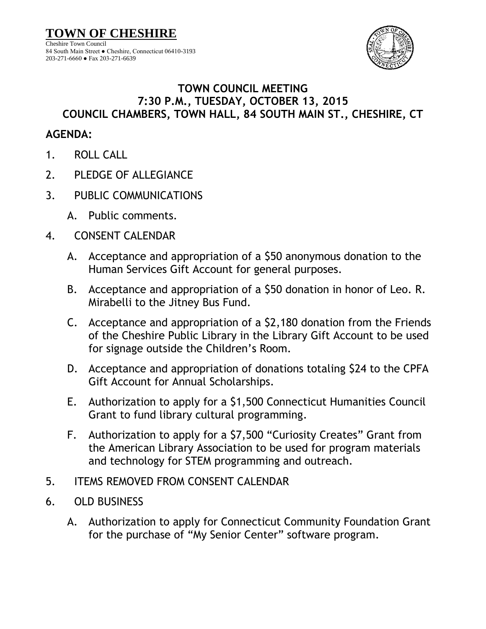**TOWN OF CHESHIRE** Cheshire Town Council 84 South Main Street ● Cheshire, Connecticut 06410-3193 203-271-6660 ● Fax 203-271-6639



## **TOWN COUNCIL MEETING 7:30 P.M., TUESDAY, OCTOBER 13, 2015 COUNCIL CHAMBERS, TOWN HALL, 84 SOUTH MAIN ST., CHESHIRE, CT**

## **AGENDA:**

- 1. ROLL CALL
- 2. PLEDGE OF ALLEGIANCE
- 3. PUBLIC COMMUNICATIONS
	- A. Public comments.
- 4. CONSENT CALENDAR
	- A. Acceptance and appropriation of a \$50 anonymous donation to the Human Services Gift Account for general purposes.
	- B. Acceptance and appropriation of a \$50 donation in honor of Leo. R. Mirabelli to the Jitney Bus Fund.
	- C. Acceptance and appropriation of a \$2,180 donation from the Friends of the Cheshire Public Library in the Library Gift Account to be used for signage outside the Children's Room.
	- D. Acceptance and appropriation of donations totaling \$24 to the CPFA Gift Account for Annual Scholarships.
	- E. Authorization to apply for a \$1,500 Connecticut Humanities Council Grant to fund library cultural programming.
	- F. Authorization to apply for a \$7,500 "Curiosity Creates" Grant from the American Library Association to be used for program materials and technology for STEM programming and outreach.
- 5. ITEMS REMOVED FROM CONSENT CALENDAR
- 6. OLD BUSINESS
	- A. Authorization to apply for Connecticut Community Foundation Grant for the purchase of "My Senior Center" software program.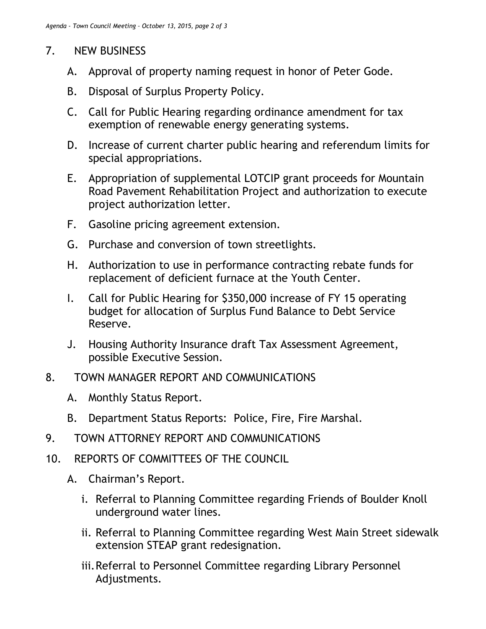## 7. NEW BUSINESS

- A. Approval of property naming request in honor of Peter Gode.
- B. Disposal of Surplus Property Policy.
- C. Call for Public Hearing regarding ordinance amendment for tax exemption of renewable energy generating systems.
- D. Increase of current charter public hearing and referendum limits for special appropriations.
- E. Appropriation of supplemental LOTCIP grant proceeds for Mountain Road Pavement Rehabilitation Project and authorization to execute project authorization letter.
- F. Gasoline pricing agreement extension.
- G. Purchase and conversion of town streetlights.
- H. Authorization to use in performance contracting rebate funds for replacement of deficient furnace at the Youth Center.
- I. Call for Public Hearing for \$350,000 increase of FY 15 operating budget for allocation of Surplus Fund Balance to Debt Service Reserve.
- J. Housing Authority Insurance draft Tax Assessment Agreement, possible Executive Session.
- 8. TOWN MANAGER REPORT AND COMMUNICATIONS
	- A. Monthly Status Report.
	- B. Department Status Reports: Police, Fire, Fire Marshal.
- 9. TOWN ATTORNEY REPORT AND COMMUNICATIONS
- 10. REPORTS OF COMMITTEES OF THE COUNCIL
	- A. Chairman's Report.
		- i. Referral to Planning Committee regarding Friends of Boulder Knoll underground water lines.
		- ii. Referral to Planning Committee regarding West Main Street sidewalk extension STEAP grant redesignation.
		- iii.Referral to Personnel Committee regarding Library Personnel Adjustments.